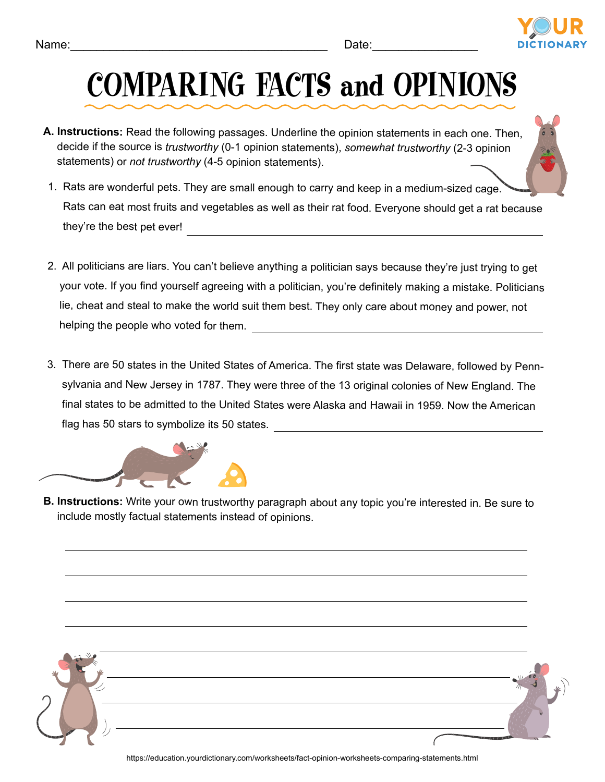

## COMPARING FACTS and OPINIONS

- **A. Instructions:** Read the following passages. Underline the opinion statements in each one. Then, decide if the source is *trustworthy* (0-1 opinion statements), *somewhat trustworthy* (2-3 opinion statements) or *not trustworthy* (4-5 opinion statements).
- 1. Rats are wonderful pets. They are small enough to carry and keep in a medium-sized cage. Rats can eat most fruits and vegetables as well as their rat food. Everyone should get a rat because they're the best pet ever!
- 2. All politicians are liars. You can't believe anything a politician says because they're just trying to get your vote. If you find yourself agreeing with a politician, you're definitely making a mistake. Politicians lie, cheat and steal to make the world suit them best. They only care about money and power, not helping the people who voted for them.
- 3. There are 50 states in the United States of America. The first state was Delaware, followed by Pennsylvania and New Jersey in 1787. They were three of the 13 original colonies of New England. The final states to be admitted to the United States were Alaska and Hawaii in 1959. Now the American flag has 50 stars to symbolize its 50 states.



**B. Instructions:** Write your own trustworthy paragraph about any topic you're interested in. Be sure to include mostly factual statements instead of opinions.